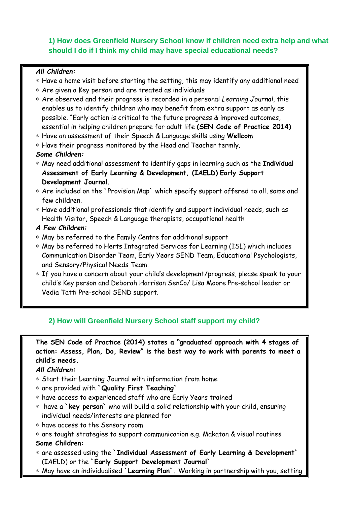# **1) How does Greenfield Nursery School know if children need extra help and what should I do if I think my child may have special educational needs?**

#### *All Children:*

- \* Have a home visit before starting the setting, this may identify any additional need
- \* Are given a Key person and are treated as individuals
- \* Are observed and their progress is recorded in a personal *Learning Journal,* this enables us to identify children who may benefit from extra support as early as possible. "Early action is critical to the future progress & improved outcomes, essential in helping children prepare for adult life **(SEN Code of Practice 2014)**
- \* Have an assessment of their Speech & Language skills using **Wellcom**
- \* Have their progress monitored by the Head and Teacher termly.

## *Some Children:*

- \* May need additional assessment to identify gaps in learning such as the **Individual Assessment of Early Learning & Development, (IAELD) Early Support Development Journal**.
- \* Are included on the `Provision Map` which specify support offered to all, some and few children.
- \* Have additional professionals that identify and support individual needs, such as Health Visitor, Speech & Language therapists, occupational health
- *A Few Children:*
- \* May be referred to the Family Centre for additional support
- \* May be referred to Herts Integrated Services for Learning (ISL) which includes Communication Disorder Team, Early Years SEND Team, Educational Psychologists, and Sensory/Physical Needs Team.
- \* If you have a concern about your child's development/progress, please speak to your child's Key person and Deborah Harrison SenCo/ Lisa Moore Pre-school leader or Vedia Tatti Pre-school SEND support.

# **2) How will Greenfield Nursery School staff support my child?**

**The SEN Code of Practice (2014) states a "graduated approach with 4 stages of action: Assess, Plan, Do, Review" is the best way to work with parents to meet a child's needs.** 

# *All Children:*

- \* Start their Learning Journal with information from home
- \* are provided with **`Quality First Teaching`**
- \* have access to experienced staff who are Early Years trained
- \* have a **`key person`** who will build a solid relationship with your child, ensuring individual needs/interests are planned for
- \* have access to the Sensory room
- \* are taught strategies to support communication e.g. Makaton & visual routines **Some Children:**
- \* are assessed using the **`Individual Assessment of Early Learning & Development`** (IAELD) or the **`Early Support Development Journal`**
- \* May have an individualised **`Learning Plan`.** Working in partnership with you, setting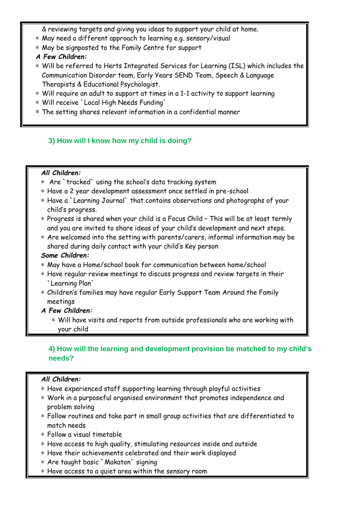& reviewing targets and giving you ideas to support your child at home.

- \* May need a different approach to learning e.g. sensory/visual
- \* May be signposted to the Family Centre for support
- *A Few Children:*
- \* Will be referred to Herts Integrated Services for Learning (ISL) which includes the Communication Disorder team, Early Years SEND Team, Speech & Language Therapists & Educational Psychologist.
- \* Will require an adult to support at times in a 1-1 activity to support learning
- \* Will receive `Local High Needs Funding`
- \* The setting shares relevant information in a confidential manner

# **3) How will I know how my child is doing?**

#### *All Children:*

- \* Are `tracked` using the school's data tracking system
- \* Have a 2 year development assessment once settled in pre-school
- \* Have a `Learning Journal` that contains observations and photographs of your child's progress.
- \* Progress is shared when your child is a Focus Child This will be at least termly and you are invited to share ideas of your child's development and next steps.
- \* Are welcomed into the setting with parents/carers, informal information may be shared during daily contact with your child's Key person

#### *Some Children:*

- \* May have a Home/school book for communication between home/school
- \* Have regular review meetings to discuss progress and review targets in their `Learning Plan`
- \* Children's families may have regular Early Support Team Around the Family meetings
- *A Few Children:*
	- \* Will have visits and reports from outside professionals who are working with your child

# **4) How will the learning and development provision be matched to my child's needs?**

## *All Children:*

- \* Have experienced staff supporting learning through playful activities
- \* Work in a purposeful organised environment that promotes independence and problem solving
- \* Follow routines and take part in small group activities that are differentiated to match needs
- \* Follow a visual timetable
- \* Have access to high quality, stimulating resources inside and outside
- \* Have their achievements celebrated and their work displayed
- \* Are taught basic `Makaton` signing
- \* Have access to a quiet area within the sensory room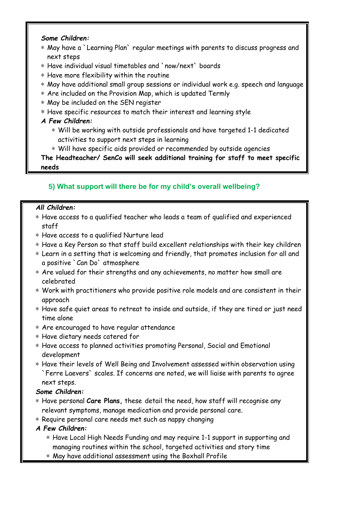## *Some Children:*

- \* May have a `Learning Plan` regular meetings with parents to discuss progress and next steps
- \* Have individual visual timetables and `now/next` boards
- \* Have more flexibility within the routine
- \* May have additional small group sessions or individual work e.g. speech and language
- \* Are included on the Provision Map, which is updated Termly
- \* May be included on the SEN register
- \* Have specific resources to match their interest and learning style

# *A Few Children:*

- \* Will be working with outside professionals and have targeted 1-1 dedicated activities to support next steps in learning
- \* Will have specific aids provided or recommended by outside agencies

**The Headteacher/ SenCo will seek additional training for staff to meet specific needs** 

# **5) What support will there be for my child's overall wellbeing?**

## *All Children:*

- \* Have access to a qualified teacher who leads a team of qualified and experienced staff
- \* Have access to a qualified Nurture lead
- \* Have a Key Person so that staff build excellent relationships with their key children
- \* Learn in a setting that is welcoming and friendly, that promotes inclusion for all and a positive `Can Do` atmosphere
- \* Are valued for their strengths and any achievements, no matter how small are celebrated
- \* Work with practitioners who provide positive role models and are consistent in their approach
- \* Have safe quiet areas to retreat to inside and outside, if they are tired or just need time alone
- \* Are encouraged to have regular attendance
- \* Have dietary needs catered for
- \* Have access to planned activities promoting Personal, Social and Emotional development
- \* Have their levels of Well Being and Involvement assessed within observation using `Ferre Laevers` scales. If concerns are noted, we will liaise with parents to agree next steps.

# *Some Children:*

- \* Have personal **Care Plans,** these detail the need, how staff will recognise any relevant symptoms, manage medication and provide personal care.
- \* Require personal care needs met such as nappy changing
- *A Few Children:*
	- \* Have Local High Needs Funding and may require 1-1 support in supporting and managing routines within the school, targeted activities and story time
	- \* May have additional assessment using the Boxhall Profile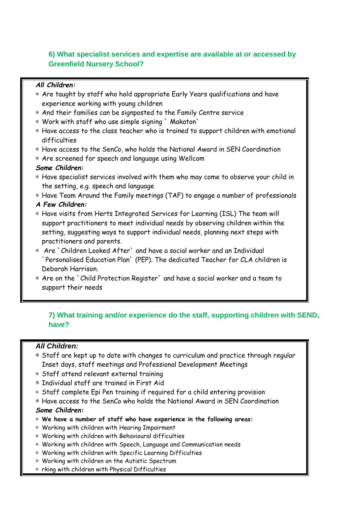# **6) What specialist services and expertise are available at or accessed by Greenfield Nursery School?**

## *All Children:*

- \* Are taught by staff who hold appropriate Early Years qualifications and have experience working with young children
- \* And their families can be signposted to the Family Centre service
- \* Work with staff who use simple signing ` Makaton`
- \* Have access to the class teacher who is trained to support children with emotional difficulties
- \* Have access to the SenCo, who holds the National Award in SEN Coordination
- \* Are screened for speech and language using Wellcom

## *Some Children:*

- \* Have specialist services involved with them who may come to observe your child in the setting, e.g. speech and language
- \* Have Team Around the Family meetings (TAF) to engage a number of professionals

*A Few Children:*

- \* Have visits from Herts Integrated Services for Learning (ISL) The team will support practitioners to meet individual needs by observing children within the setting, suggesting ways to support individual needs, planning next steps with practitioners and parents.
- \* Are `Children Looked After` and have a social worker and an Individual `Personalised Education Plan` (PEP). The dedicated Teacher for CLA children is Deborah Harrison.
- \* Are on the `Child Protection Register` and have a social worker and a team to support their needs

# **7) What training and/or experience do the staff, supporting children with SEND, have?**

# *All Children:*

- \* Staff are kept up to date with changes to curriculum and practice through regular Inset days, staff meetings and Professional Development Meetings
- \* Staff attend relevant external training
- \* Individual staff are trained in First Aid
- \* Staff complete Epi Pen training if required for a child entering provision
- \* Have access to the SenCo who holds the National Award in SEN Coordination

## *Some Children:*

- \* **We have a number of staff who have experience in the following areas:**
- \* Working with children with Hearing Impairment
- \* Working with children with Behavioural difficulties
- \* Working with children with Speech, Language and Communication needs
- \* Working with children with Specific Learning Difficulties
- \* Working with children on the Autistic Spectrum
- \* rking with children with Physical Difficulties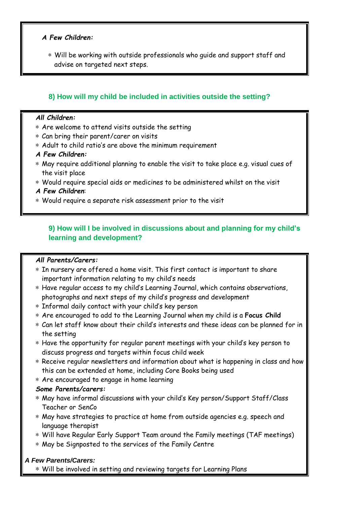## *A Few Children:*

\* Will be working with outside professionals who guide and support staff and advise on targeted next steps.

# **8) How will my child be included in activities outside the setting?**

#### *All Children:*

- \* Are welcome to attend visits outside the setting
- \* Can bring their parent/carer on visits
- \* Adult to child ratio's are above the minimum requirement

#### *A Few Children:*

- \* May require additional planning to enable the visit to take place e.g. visual cues of the visit place
- \* Would require special aids or medicines to be administered whilst on the visit
- *A Few Children*:
- \* Would require a separate risk assessment prior to the visit

# **9) How will I be involved in discussions about and planning for my child's learning and development?**

## *All Parents/Carers:*

- \* In nursery are offered a home visit. This first contact is important to share important information relating to my child's needs
- \* Have regular access to my child's Learning Journal, which contains observations, photographs and next steps of my child's progress and development
- \* Informal daily contact with your child's key person
- \* Are encouraged to add to the Learning Journal when my child is a **Focus Child**
- \* Can let staff know about their child's interests and these ideas can be planned for in the setting
- \* Have the opportunity for regular parent meetings with your child's key person to discuss progress and targets within focus child week
- \* Receive regular newsletters and information about what is happening in class and how this can be extended at home, including Core Books being used
- \* Are encouraged to engage in home learning

## *Some Parents/carers:*

- \* May have informal discussions with your child's Key person/Support Staff/Class Teacher or SenCo
- \* May have strategies to practice at home from outside agencies e.g. speech and language therapist
- \* Will have Regular Early Support Team around the Family meetings (TAF meetings)
- \* May be Signposted to the services of the Family Centre

## *A Few Parents/Carers:*

\* Will be involved in setting and reviewing targets for Learning Plans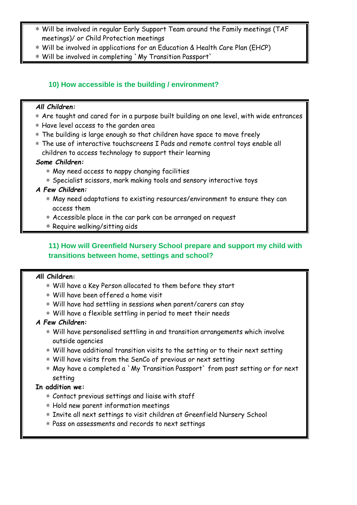- \* Will be involved in regular Early Support Team around the Family meetings (TAF meetings)/ or Child Protection meetings
- \* Will be involved in applications for an Education & Health Care Plan (EHCP)
- \* Will be involved in completing `My Transition Passport`

# **10) How accessible is the building / environment?**

## *All Children:*

- \* Are taught and cared for in a purpose built building on one level, with wide entrances
- \* Have level access to the garden area
- \* The building is large enough so that children have space to move freely
- \* The use of interactive touchscreens I Pads and remote control toys enable all children to access technology to support their learning

## *Some Children:*

- \* May need access to nappy changing facilities
- \* Specialist scissors, mark making tools and sensory interactive toys

## *A Few Children:*

- \* May need adaptations to existing resources/environment to ensure they can access them
- \* Accessible place in the car park can be arranged on request
- \* Require walking/sitting aids

# **11) How will Greenfield Nursery School prepare and support my child with transitions between home, settings and school?**

## *A***ll Children:**

- \* Will have a Key Person allocated to them before they start
- \* Will have been offered a home visit
- \* Will have had settling in sessions when parent/carers can stay
- \* Will have a flexible settling in period to meet their needs

# *A Few Children:*

- \* Will have personalised settling in and transition arrangements which involve outside agencies
- \* Will have additional transition visits to the setting or to their next setting
- \* Will have visits from the SenCo of previous or next setting
- \* May have a completed a `My Transition Passport` from past setting or for next setting

## **In addition we:**

- \* Contact previous settings and liaise with staff
- \* Hold new parent information meetings
- \* Invite all next settings to visit children at Greenfield Nursery School
- \* Pass on assessments and records to next settings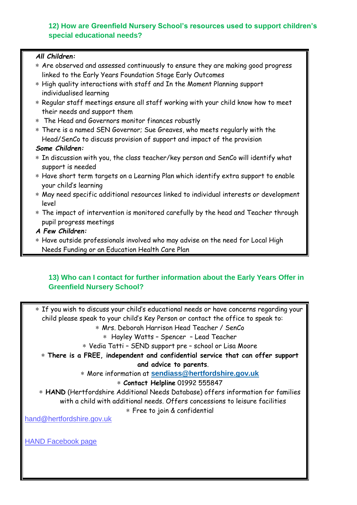# **12) How are Greenfield Nursery School's resources used to support children's special educational needs?**

| All Children:                                                                          |
|----------------------------------------------------------------------------------------|
| * Are observed and assessed continuously to ensure they are making good progress       |
| linked to the Early Years Foundation Stage Early Outcomes                              |
| * High quality interactions with staff and In the Moment Planning support              |
| individualised learning                                                                |
| * Regular staff meetings ensure all staff working with your child know how to meet     |
| their needs and support them                                                           |
| The Head and Governors monitor finances robustly<br>$\ast$                             |
| * There is a named SEN Governor; Sue Greaves, who meets regularly with the             |
| Head/SenCo to discuss provision of support and impact of the provision                 |
| Some Children:                                                                         |
| * In discussion with you, the class teacher/key person and SenCo will identify what    |
| support is needed                                                                      |
| * Have short term targets on a Learning Plan which identify extra support to enable    |
| your child's learning                                                                  |
| * May need specific additional resources linked to individual interests or development |
| level                                                                                  |
| * The impact of intervention is monitored carefully by the head and Teacher through    |
| pupil progress meetings                                                                |
| A Few Children:                                                                        |
| * Have outside professionals involved who may advise on the need for Local High        |
| Needs Funding or an Education Health Care Plan                                         |
|                                                                                        |

# **13) Who can I contact for further information about the Early Years Offer in Greenfield Nursery School?**

\* If you wish to discuss your child's educational needs or have concerns regarding your child please speak to your child's Key Person or contact the office to speak to:

\* Mrs. Deborah Harrison Head Teacher / SenCo

\* Hayley Watts – Spencer – Lead Teacher

\* Vedia Tatti – SEND support pre – school or Lisa Moore

\* **There is a FREE, independent and confidential service that can offer support** 

**and advice to parents**.

\* More information at **[sendiass@hertfordshire.gov.uk](mailto:sendiass@hertfordshire.gov.uk)**

\* **Contact Helpline** 01992 555847

\* **HAND** (Hertfordshire Additional Needs Database) offers information for families with a child with additional needs. Offers concessions to leisure facilities

\* Free to join & confidential

[hand@hertfordshire.gov.uk](mailto:hand@hertfordshire.gov.uk)

[HAND Facebook page](https://www.facebook.com/Hertfordshire-Additional-Needs-Database-HAND-1407848126093411/)